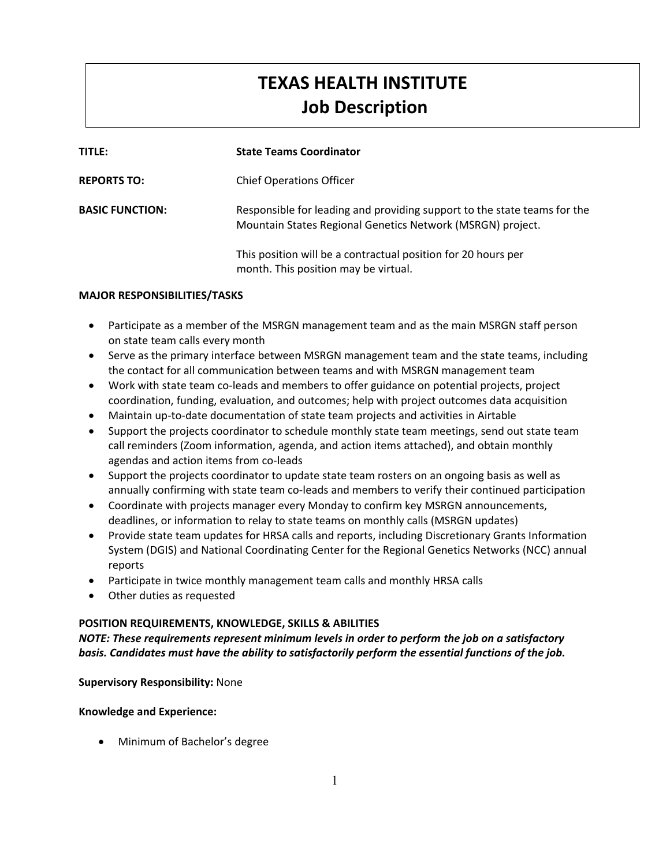# **TEXAS HEALTH INSTITUTE Job Description**

| TITLE:                 | <b>State Teams Coordinator</b>                                                                                                         |
|------------------------|----------------------------------------------------------------------------------------------------------------------------------------|
| <b>REPORTS TO:</b>     | <b>Chief Operations Officer</b>                                                                                                        |
| <b>BASIC FUNCTION:</b> | Responsible for leading and providing support to the state teams for the<br>Mountain States Regional Genetics Network (MSRGN) project. |
|                        | This position will be a contractual position for 20 hours per<br>month. This position may be virtual.                                  |

# **MAJOR RESPONSIBILITIES/TASKS**

- Participate as a member of the MSRGN management team and as the main MSRGN staff person on state team calls every month
- Serve as the primary interface between MSRGN management team and the state teams, including the contact for all communication between teams and with MSRGN management team
- Work with state team co-leads and members to offer guidance on potential projects, project coordination, funding, evaluation, and outcomes; help with project outcomes data acquisition
- Maintain up-to-date documentation of state team projects and activities in Airtable
- Support the projects coordinator to schedule monthly state team meetings, send out state team call reminders (Zoom information, agenda, and action items attached), and obtain monthly agendas and action items from co-leads
- Support the projects coordinator to update state team rosters on an ongoing basis as well as annually confirming with state team co-leads and members to verify their continued participation
- Coordinate with projects manager every Monday to confirm key MSRGN announcements, deadlines, or information to relay to state teams on monthly calls (MSRGN updates)
- Provide state team updates for HRSA calls and reports, including Discretionary Grants Information System (DGIS) and National Coordinating Center for the Regional Genetics Networks (NCC) annual reports
- Participate in twice monthly management team calls and monthly HRSA calls
- Other duties as requested

# **POSITION REQUIREMENTS, KNOWLEDGE, SKILLS & ABILITIES**

*NOTE: These requirements represent minimum levels in order to perform the job on a satisfactory basis. Candidates must have the ability to satisfactorily perform the essential functions of the job.*

# **Supervisory Responsibility:** None

### **Knowledge and Experience:**

Minimum of Bachelor's degree